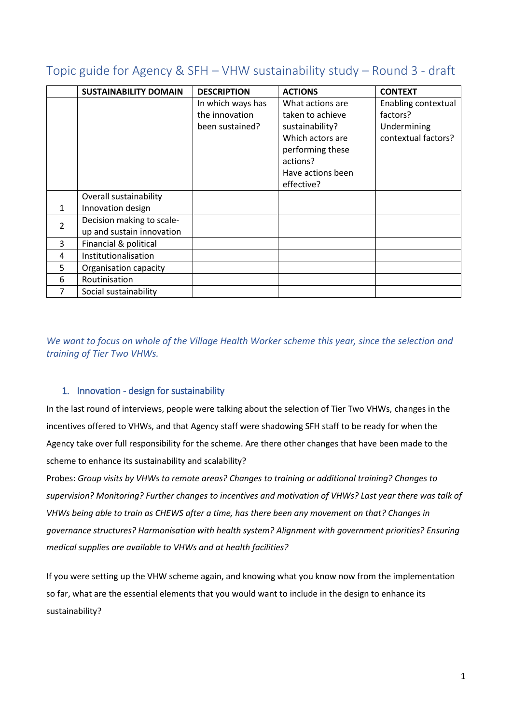# Topic guide for Agency & SFH – VHW sustainability study – Round 3 - draft

|                | <b>SUSTAINABILITY DOMAIN</b>                           | <b>DESCRIPTION</b>                                     | <b>ACTIONS</b>                                                                                                                                 | <b>CONTEXT</b>                                                        |
|----------------|--------------------------------------------------------|--------------------------------------------------------|------------------------------------------------------------------------------------------------------------------------------------------------|-----------------------------------------------------------------------|
|                |                                                        | In which ways has<br>the innovation<br>been sustained? | What actions are<br>taken to achieve<br>sustainability?<br>Which actors are<br>performing these<br>actions?<br>Have actions been<br>effective? | Enabling contextual<br>factors?<br>Undermining<br>contextual factors? |
|                | Overall sustainability                                 |                                                        |                                                                                                                                                |                                                                       |
| 1              | Innovation design                                      |                                                        |                                                                                                                                                |                                                                       |
| $\overline{2}$ | Decision making to scale-<br>up and sustain innovation |                                                        |                                                                                                                                                |                                                                       |
| 3              | Financial & political                                  |                                                        |                                                                                                                                                |                                                                       |
| 4              | Institutionalisation                                   |                                                        |                                                                                                                                                |                                                                       |
| 5              | Organisation capacity                                  |                                                        |                                                                                                                                                |                                                                       |
| 6              | Routinisation                                          |                                                        |                                                                                                                                                |                                                                       |
| 7              | Social sustainability                                  |                                                        |                                                                                                                                                |                                                                       |

*We want to focus on whole of the Village Health Worker scheme this year, since the selection and training of Tier Two VHWs.* 

# 1. Innovation - design for sustainability

In the last round of interviews, people were talking about the selection of Tier Two VHWs, changes in the incentives offered to VHWs, and that Agency staff were shadowing SFH staff to be ready for when the Agency take over full responsibility for the scheme. Are there other changes that have been made to the scheme to enhance its sustainability and scalability?

Probes: *Group visits by VHWs to remote areas? Changes to training or additional training? Changes to supervision? Monitoring? Further changes to incentives and motivation of VHWs? Last year there was talk of VHWs being able to train as CHEWS after a time, has there been any movement on that? Changes in governance structures? Harmonisation with health system? Alignment with government priorities? Ensuring medical supplies are available to VHWs and at health facilities?*

If you were setting up the VHW scheme again, and knowing what you know now from the implementation so far, what are the essential elements that you would want to include in the design to enhance its sustainability?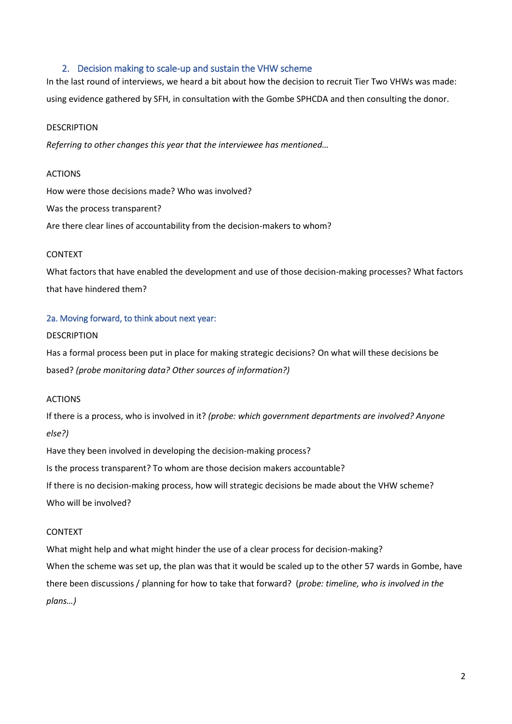# 2. Decision making to scale-up and sustain the VHW scheme

In the last round of interviews, we heard a bit about how the decision to recruit Tier Two VHWs was made: using evidence gathered by SFH, in consultation with the Gombe SPHCDA and then consulting the donor.

## **DESCRIPTION**

*Referring to other changes this year that the interviewee has mentioned…*

#### ACTIONS

How were those decisions made? Who was involved? Was the process transparent? Are there clear lines of accountability from the decision-makers to whom?

### CONTEXT

What factors that have enabled the development and use of those decision-making processes? What factors that have hindered them?

### 2a. Moving forward, to think about next year:

### DESCRIPTION

Has a formal process been put in place for making strategic decisions? On what will these decisions be based? *(probe monitoring data? Other sources of information?)*

## ACTIONS

If there is a process, who is involved in it? *(probe: which government departments are involved? Anyone else?)* 

Have they been involved in developing the decision-making process? Is the process transparent? To whom are those decision makers accountable? If there is no decision-making process, how will strategic decisions be made about the VHW scheme? Who will be involved?

# CONTEXT

What might help and what might hinder the use of a clear process for decision-making? When the scheme was set up, the plan was that it would be scaled up to the other 57 wards in Gombe, have there been discussions / planning for how to take that forward? (*probe: timeline, who is involved in the plans…)*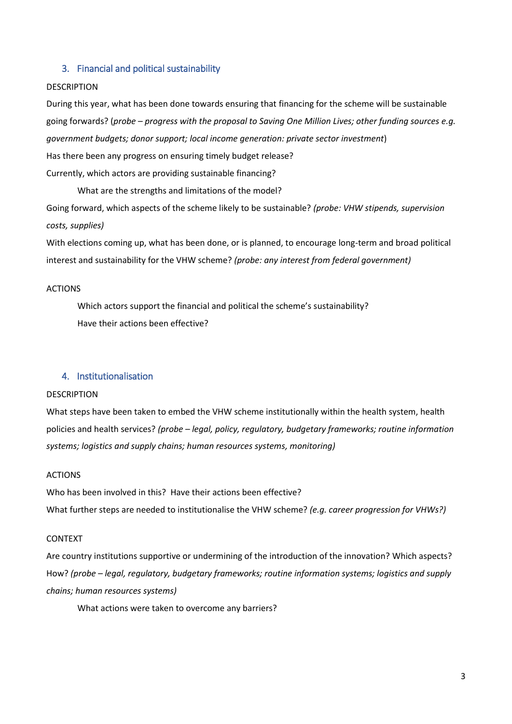# 3. Financial and political sustainability

#### DESCRIPTION

During this year, what has been done towards ensuring that financing for the scheme will be sustainable going forwards? (*probe – progress with the proposal to Saving One Million Lives; other funding sources e.g. government budgets; donor support; local income generation: private sector investment*) Has there been any progress on ensuring timely budget release? Currently, which actors are providing sustainable financing?

What are the strengths and limitations of the model? Going forward, which aspects of the scheme likely to be sustainable? *(probe: VHW stipends, supervision costs, supplies)*

With elections coming up, what has been done, or is planned, to encourage long-term and broad political interest and sustainability for the VHW scheme? *(probe: any interest from federal government)*

#### ACTIONS

Which actors support the financial and political the scheme's sustainability? Have their actions been effective?

# 4. Institutionalisation

# **DESCRIPTION**

What steps have been taken to embed the VHW scheme institutionally within the health system, health policies and health services? *(probe – legal, policy, regulatory, budgetary frameworks; routine information systems; logistics and supply chains; human resources systems, monitoring)*

#### ACTIONS

Who has been involved in this? Have their actions been effective? What further steps are needed to institutionalise the VHW scheme? *(e.g. career progression for VHWs?)*

#### CONTEXT

Are country institutions supportive or undermining of the introduction of the innovation? Which aspects? How? *(probe – legal, regulatory, budgetary frameworks; routine information systems; logistics and supply chains; human resources systems)*

What actions were taken to overcome any barriers?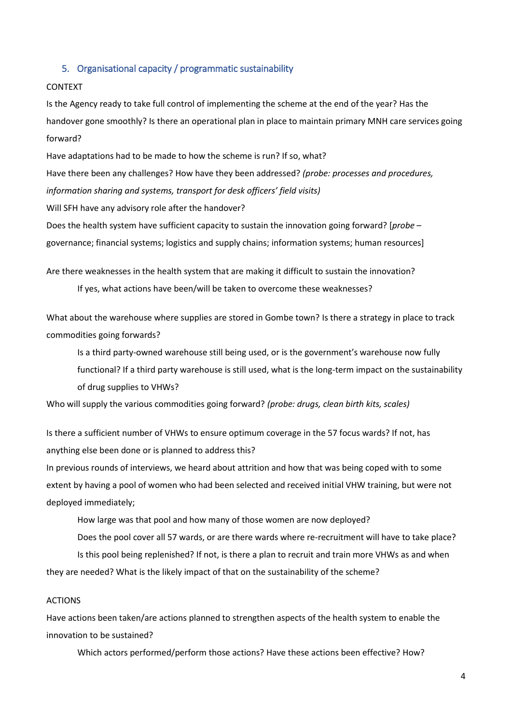### 5. Organisational capacity / programmatic sustainability

#### CONTEXT

Is the Agency ready to take full control of implementing the scheme at the end of the year? Has the handover gone smoothly? Is there an operational plan in place to maintain primary MNH care services going forward?

Have adaptations had to be made to how the scheme is run? If so, what?

Have there been any challenges? How have they been addressed? *(probe: processes and procedures, information sharing and systems, transport for desk officers' field visits)*

Will SFH have any advisory role after the handover?

Does the health system have sufficient capacity to sustain the innovation going forward? [*probe* – governance; financial systems; logistics and supply chains; information systems; human resources]

Are there weaknesses in the health system that are making it difficult to sustain the innovation? If yes, what actions have been/will be taken to overcome these weaknesses?

What about the warehouse where supplies are stored in Gombe town? Is there a strategy in place to track commodities going forwards?

Is a third party-owned warehouse still being used, or is the government's warehouse now fully functional? If a third party warehouse is still used, what is the long-term impact on the sustainability of drug supplies to VHWs?

Who will supply the various commodities going forward? *(probe: drugs, clean birth kits, scales)*

Is there a sufficient number of VHWs to ensure optimum coverage in the 57 focus wards? If not, has anything else been done or is planned to address this?

In previous rounds of interviews, we heard about attrition and how that was being coped with to some extent by having a pool of women who had been selected and received initial VHW training, but were not deployed immediately;

How large was that pool and how many of those women are now deployed?

Does the pool cover all 57 wards, or are there wards where re-recruitment will have to take place?

Is this pool being replenished? If not, is there a plan to recruit and train more VHWs as and when they are needed? What is the likely impact of that on the sustainability of the scheme?

#### ACTIONS

Have actions been taken/are actions planned to strengthen aspects of the health system to enable the innovation to be sustained?

Which actors performed/perform those actions? Have these actions been effective? How?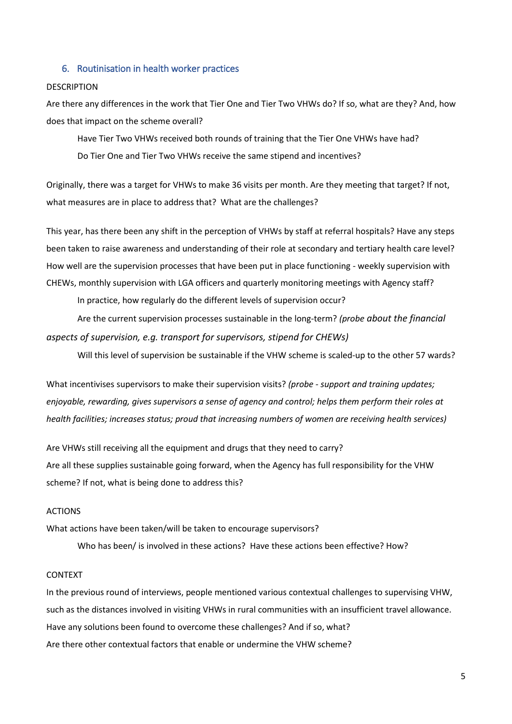### 6. Routinisation in health worker practices

#### **DESCRIPTION**

Are there any differences in the work that Tier One and Tier Two VHWs do? If so, what are they? And, how does that impact on the scheme overall?

Have Tier Two VHWs received both rounds of training that the Tier One VHWs have had? Do Tier One and Tier Two VHWs receive the same stipend and incentives?

Originally, there was a target for VHWs to make 36 visits per month. Are they meeting that target? If not, what measures are in place to address that? What are the challenges?

This year, has there been any shift in the perception of VHWs by staff at referral hospitals? Have any steps been taken to raise awareness and understanding of their role at secondary and tertiary health care level? How well are the supervision processes that have been put in place functioning - weekly supervision with CHEWs, monthly supervision with LGA officers and quarterly monitoring meetings with Agency staff?

In practice, how regularly do the different levels of supervision occur?

Are the current supervision processes sustainable in the long-term? *(probe about the financial aspects of supervision, e.g. transport for supervisors, stipend for CHEWs)*

Will this level of supervision be sustainable if the VHW scheme is scaled-up to the other 57 wards?

What incentivises supervisors to make their supervision visits? *(probe - support and training updates; enjoyable, rewarding, gives supervisors a sense of agency and control; helps them perform their roles at health facilities; increases status; proud that increasing numbers of women are receiving health services)*

Are VHWs still receiving all the equipment and drugs that they need to carry? Are all these supplies sustainable going forward, when the Agency has full responsibility for the VHW scheme? If not, what is being done to address this?

#### ACTIONS

What actions have been taken/will be taken to encourage supervisors?

Who has been/ is involved in these actions? Have these actions been effective? How?

#### CONTEXT

In the previous round of interviews, people mentioned various contextual challenges to supervising VHW, such as the distances involved in visiting VHWs in rural communities with an insufficient travel allowance. Have any solutions been found to overcome these challenges? And if so, what? Are there other contextual factors that enable or undermine the VHW scheme?